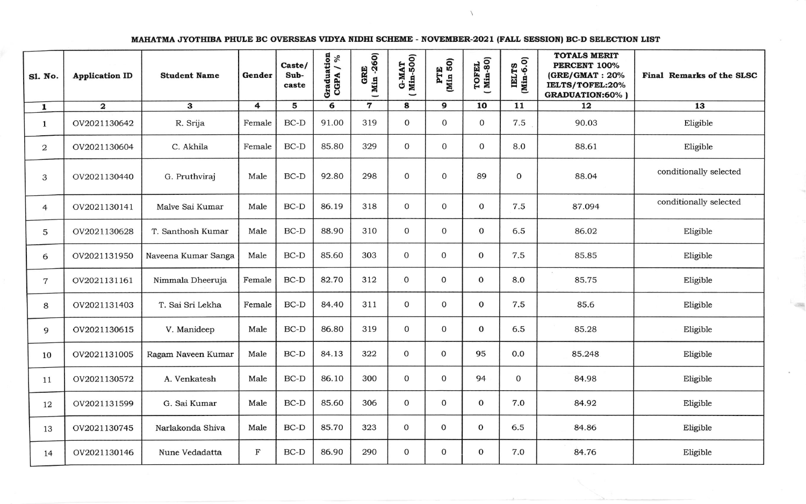MAHATMA JYOTHIBA PHULE BC OVERSEAS VIDYA NIDHI SCHEME - NOVEMBER-2021 (FALL SESSION) BC-D SELECTION LIST

| <b>Sl. No.</b> | <b>Application ID</b>   | <b>Student Name</b> | Gender      | Caste/<br>Sub-<br>caste | Graduation<br>CGPA $/$ % | GRE<br>Min -260) | <b>G-MAT</b><br>Min-500)<br>$\overline{\phantom{0}}$ | PTE<br>(Min 50)  | TOFEL<br>(Min-80) | IELTS<br>(Min-6.0) | <b>TOTALS MERIT</b><br>PERCENT 100%<br>$(GRE/GMAT : 20\%$<br>IELTS/TOFEL:20%<br><b>GRADUATION:60%)</b> | Final Remarks of the SLSC |
|----------------|-------------------------|---------------------|-------------|-------------------------|--------------------------|------------------|------------------------------------------------------|------------------|-------------------|--------------------|--------------------------------------------------------------------------------------------------------|---------------------------|
| $\mathbf{1}$   | $\overline{\mathbf{2}}$ | 3                   | 4           | 5                       | 6                        | $\mathbf 7$      | 8                                                    | 9                | 10                | 11                 | 12                                                                                                     | 13                        |
| $\mathbf{1}$   | OV2021130642            | R. Srija            | Female      | $BC-D$                  | 91.00                    | 319              | $\mathbf 0$                                          | $\mathbf 0$      | $\mathbf 0$       | 7.5                | 90.03                                                                                                  | Eligible                  |
| $\overline{2}$ | OV2021130604            | C. Akhila           | Female      | $BC-D$                  | 85.80                    | 329              | $\overline{0}$                                       | $\mathbf{O}$     | $\mathbf{O}$      | 8.0                | 88.61                                                                                                  | Eligible                  |
| 3              | OV2021130440            | G. Pruthviraj       | Male        | $BC-D$                  | 92.80                    | 298              | $\mathbf 0$                                          | $\mathbf 0$      | 89                | $\mathbf{0}$       | 88.04                                                                                                  | conditionally selected    |
| $\overline{4}$ | OV2021130141            | Malve Sai Kumar     | Male        | $BC-D$                  | 86.19                    | 318              | $\mathbf 0$                                          | $\mathbf 0$      | $\mathbf{O}$      | 7.5                | 87.094                                                                                                 | conditionally selected    |
| 5              | OV2021130628            | T. Santhosh Kumar   | Male        | $BC-D$                  | 88.90                    | 310              | $\mathbf 0$                                          | $\mathbf{O}$     | $\mathbf{0}$      | 6.5                | 86.02                                                                                                  | Eligible                  |
| 6              | OV2021131950            | Naveena Kumar Sanga | Male        | $BC-D$                  | 85.60                    | 303              | $\mathbf{O}$                                         | $\mathbf{O}$     | $\mathbf 0$       | 7.5                | 85.85                                                                                                  | Eligible                  |
| $\overline{7}$ | OV2021131161            | Nimmala Dheeruja    | Female      | $BC-D$                  | 82.70                    | 312              | $\mathbf 0$                                          | $\mathbf 0$      | 0                 | 8.0                | 85.75                                                                                                  | Eligible                  |
| 8              | OV2021131403            | T. Sai Sri Lekha    | Female      | $BC-D$                  | 84.40                    | 311              | $\mathbf{O}$                                         | $\boldsymbol{0}$ | $\mathbf 0$       | 7.5                | 85.6                                                                                                   | Eligible                  |
| 9              | OV2021130615            | V. Manideep         | Male        | $BC-D$                  | 86.80                    | 319              | $\mathbf{0}$                                         | $\mathbf 0$      | 0                 | 6.5                | 85.28                                                                                                  | Eligible                  |
| 10             | OV2021131005            | Ragam Naveen Kumar  | Male        | $BC-D$                  | 84.13                    | 322              | $\mathbf{0}$                                         | $\mathbf{0}$     | 95                | 0.0                | 85.248                                                                                                 | Eligible                  |
| 11             | OV2021130572            | A. Venkatesh        | Male        | $BC-D$                  | 86.10                    | 300              | $\mathbf{O}$                                         | $\mathbf{O}$     | 94                | 0                  | 84.98                                                                                                  | Eligible                  |
| 12             | OV2021131599            | G. Sai Kumar        | Male        | $BC-D$                  | 85.60                    | 306              | $\mathbf{0}$                                         | $\mathbf{0}$     | 0                 | 7.0                | 84.92                                                                                                  | Eligible                  |
| 13             | OV2021130745            | Narlakonda Shiva    | Male        | $BC-D$                  | 85.70                    | 323              | $\mathbf{0}$                                         | $\mathbf{0}$     | 0                 | 6.5                | 84.86                                                                                                  | Eligible                  |
| 14             | OV2021130146            | Nune Vedadatta      | $\mathbf F$ | $BC-D$                  | 86.90                    | 290              | $\mathbf 0$                                          | 0                | 0                 | 7.0                | 84.76                                                                                                  | Eligible                  |